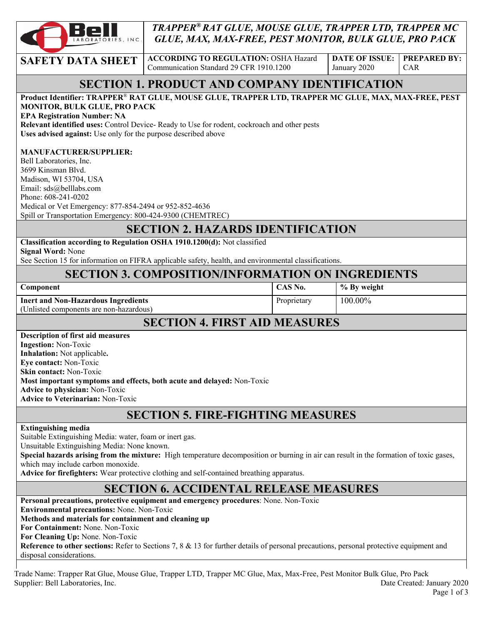

## *TRAPPER® RAT GLUE, MOUSE GLUE, TRAPPER LTD, TRAPPER MC GLUE, MAX, MAX-FREE, PEST MONITOR, BULK GLUE, PRO PACK*

**SAFETY DATA SHEET ACCORDING TO REGULATION: OSHA Hazard** Communication Standard 29 CFR 1910.1200

**DATE OF ISSUE:**  January 2020

**PREPARED BY:**  CAR

# **SECTION 1. PRODUCT AND COMPANY IDENTIFICATION**

| Product Identifier: TRAPPER® RAT GLUE, MOUSE GLUE, TRAPPER LTD, TRAPPER MC GLUE, MAX, MAX-FREE, PEST                                                                         |             |             |  |  |
|------------------------------------------------------------------------------------------------------------------------------------------------------------------------------|-------------|-------------|--|--|
| MONITOR, BULK GLUE, PRO PACK                                                                                                                                                 |             |             |  |  |
| <b>EPA Registration Number: NA</b><br>Relevant identified uses: Control Device- Ready to Use for rodent, cockroach and other pests                                           |             |             |  |  |
| Uses advised against: Use only for the purpose described above                                                                                                               |             |             |  |  |
|                                                                                                                                                                              |             |             |  |  |
| <b>MANUFACTURER/SUPPLIER:</b>                                                                                                                                                |             |             |  |  |
| Bell Laboratories, Inc.                                                                                                                                                      |             |             |  |  |
| 3699 Kinsman Blvd.                                                                                                                                                           |             |             |  |  |
| Madison, WI 53704, USA<br>Email: sds@belllabs.com                                                                                                                            |             |             |  |  |
| Phone: 608-241-0202                                                                                                                                                          |             |             |  |  |
| Medical or Vet Emergency: 877-854-2494 or 952-852-4636                                                                                                                       |             |             |  |  |
| Spill or Transportation Emergency: 800-424-9300 (CHEMTREC)                                                                                                                   |             |             |  |  |
| <b>SECTION 2. HAZARDS IDENTIFICATION</b>                                                                                                                                     |             |             |  |  |
| Classification according to Regulation OSHA 1910.1200(d): Not classified                                                                                                     |             |             |  |  |
| <b>Signal Word: None</b>                                                                                                                                                     |             |             |  |  |
| See Section 15 for information on FIFRA applicable safety, health, and environmental classifications.                                                                        |             |             |  |  |
| <b>SECTION 3. COMPOSITION/INFORMATION ON INGREDIENTS</b>                                                                                                                     |             |             |  |  |
| Component                                                                                                                                                                    | CAS No.     | % By weight |  |  |
| <b>Inert and Non-Hazardous Ingredients</b>                                                                                                                                   | Proprietary | 100.00%     |  |  |
| (Unlisted components are non-hazardous)                                                                                                                                      |             |             |  |  |
| <b>SECTION 4. FIRST AID MEASURES</b>                                                                                                                                         |             |             |  |  |
| <b>Description of first aid measures</b>                                                                                                                                     |             |             |  |  |
| <b>Ingestion: Non-Toxic</b>                                                                                                                                                  |             |             |  |  |
| Inhalation: Not applicable.                                                                                                                                                  |             |             |  |  |
| Eye contact: Non-Toxic                                                                                                                                                       |             |             |  |  |
| Skin contact: Non-Toxic<br>Most important symptoms and effects, both acute and delayed: Non-Toxic                                                                            |             |             |  |  |
| <b>Advice to physician: Non-Toxic</b>                                                                                                                                        |             |             |  |  |
| <b>Advice to Veterinarian: Non-Toxic</b>                                                                                                                                     |             |             |  |  |
|                                                                                                                                                                              |             |             |  |  |
| <b>SECTION 5. FIRE-FIGHTING MEASURES</b>                                                                                                                                     |             |             |  |  |
| <b>Extinguishing media</b>                                                                                                                                                   |             |             |  |  |
| Suitable Extinguishing Media: water, foam or inert gas.                                                                                                                      |             |             |  |  |
| Unsuitable Extinguishing Media: None known.                                                                                                                                  |             |             |  |  |
| Special hazards arising from the mixture: High temperature decomposition or burning in air can result in the formation of toxic gases,<br>which may include carbon monoxide. |             |             |  |  |
| Advice for firefighters: Wear protective clothing and self-contained breathing apparatus.                                                                                    |             |             |  |  |
|                                                                                                                                                                              |             |             |  |  |
| <b>SECTION 6. ACCIDENTAL RELEASE MEASURES</b>                                                                                                                                |             |             |  |  |
| Personal precautions, protective equipment and emergency procedures: None. Non-Toxic<br>Environmental precautions: None. Non-Toxic                                           |             |             |  |  |
| Methods and materials for containment and cleaning up                                                                                                                        |             |             |  |  |
| For Containment: None. Non-Toxic                                                                                                                                             |             |             |  |  |
| For Cleaning Up: None. Non-Toxic                                                                                                                                             |             |             |  |  |
| Reference to other sections: Refer to Sections 7, 8 & 13 for further details of personal precautions, personal protective equipment and                                      |             |             |  |  |

disposal considerations.

Trade Name: Trapper Rat Glue, Mouse Glue, Trapper LTD, Trapper MC Glue, Max, Max-Free, Pest Monitor Bulk Glue, Pro Pack Supplier: Bell Laboratories, Inc. 2020 Created: January 2020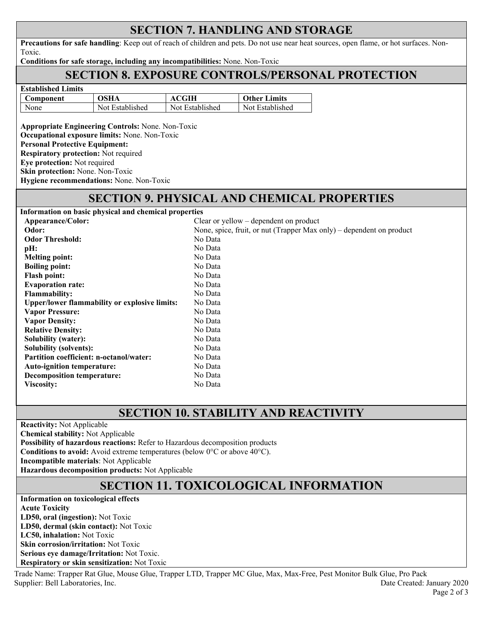## **SECTION 7. HANDLING AND STORAGE**

**Precautions for safe handling**: Keep out of reach of children and pets. Do not use near heat sources, open flame, or hot surfaces. Non-Toxic.

**Conditions for safe storage, including any incompatibilities:** None. Non-Toxic

#### **SECTION 8. EXPOSURE CONTROLS/PERSONAL PROTECTION**

| <b>Established Limits</b> |                 |                 |                     |
|---------------------------|-----------------|-----------------|---------------------|
| Component                 | <b>OSHA</b>     | <b>ACGIH</b>    | <b>Other Limits</b> |
| None                      | Not Established | Not Established | Not Established     |

**Appropriate Engineering Controls:** None. Non-Toxic **Occupational exposure limits:** None. Non-Toxic **Personal Protective Equipment: Respiratory protection:** Not required **Eye protection:** Not required **Skin protection:** None. Non-Toxic **Hygiene recommendations:** None. Non-Toxic

# **SECTION 9. PHYSICAL AND CHEMICAL PROPERTIES**

| Information on basic physical and chemical properties |                                                                      |  |
|-------------------------------------------------------|----------------------------------------------------------------------|--|
| Appearance/Color:                                     | Clear or yellow $-$ dependent on product                             |  |
| Odor:                                                 | None, spice, fruit, or nut (Trapper Max only) – dependent on product |  |
| <b>Odor Threshold:</b>                                | No Data                                                              |  |
| pH:                                                   | No Data                                                              |  |
| <b>Melting point:</b>                                 | No Data                                                              |  |
| <b>Boiling point:</b>                                 | No Data                                                              |  |
| <b>Flash point:</b>                                   | No Data                                                              |  |
| <b>Evaporation rate:</b>                              | No Data                                                              |  |
| <b>Flammability:</b>                                  | No Data                                                              |  |
| <b>Upper/lower flammability or explosive limits:</b>  | No Data                                                              |  |
| <b>Vapor Pressure:</b>                                | No Data                                                              |  |
| <b>Vapor Density:</b>                                 | No Data                                                              |  |
| <b>Relative Density:</b>                              | No Data                                                              |  |
| <b>Solubility (water):</b>                            | No Data                                                              |  |
| <b>Solubility (solvents):</b>                         | No Data                                                              |  |
| <b>Partition coefficient: n-octanol/water:</b>        | No Data                                                              |  |
| <b>Auto-ignition temperature:</b>                     | No Data                                                              |  |
| <b>Decomposition temperature:</b>                     | No Data                                                              |  |
| <b>Viscositv:</b>                                     | No Data                                                              |  |

# **SECTION 10. STABILITY AND REACTIVITY**

**Reactivity:** Not Applicable

**Chemical stability:** Not Applicable

**Possibility of hazardous reactions:** Refer to Hazardous decomposition products

**Conditions to avoid:** Avoid extreme temperatures (below 0°C or above 40°C).

**Incompatible materials**: Not Applicable

**Hazardous decomposition products:** Not Applicable

# **SECTION 11. TOXICOLOGICAL INFORMATION**

**Information on toxicological effects Acute Toxicity LD50, oral (ingestion):** Not Toxic **LD50, dermal (skin contact):** Not Toxic **LC50, inhalation:** Not Toxic **Skin corrosion/irritation:** Not Toxic **Serious eye damage/Irritation:** Not Toxic. **Respiratory or skin sensitization:** Not Toxic

Trade Name: Trapper Rat Glue, Mouse Glue, Trapper LTD, Trapper MC Glue, Max, Max-Free, Pest Monitor Bulk Glue, Pro Pack Supplier: Bell Laboratories, Inc. 2020